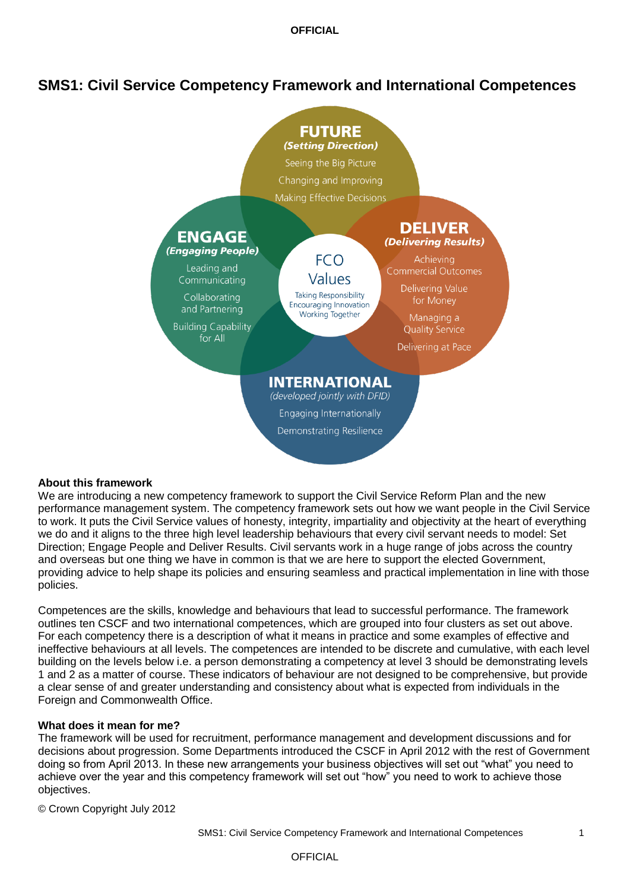# **SMS1: Civil Service Competency Framework and International Competences**



#### **About this framework**

We are introducing a new competency framework to support the Civil Service Reform Plan and the new performance management system. The competency framework sets out how we want people in the Civil Service to work. It puts the Civil Service values of honesty, integrity, impartiality and objectivity at the heart of everything we do and it aligns to the three high level leadership behaviours that every civil servant needs to model: Set Direction; Engage People and Deliver Results. Civil servants work in a huge range of jobs across the country and overseas but one thing we have in common is that we are here to support the elected Government, providing advice to help shape its policies and ensuring seamless and practical implementation in line with those policies.

Competences are the skills, knowledge and behaviours that lead to successful performance. The framework outlines ten CSCF and two international competences, which are grouped into four clusters as set out above. For each competency there is a description of what it means in practice and some examples of effective and ineffective behaviours at all levels. The competences are intended to be discrete and cumulative, with each level building on the levels below i.e. a person demonstrating a competency at level 3 should be demonstrating levels 1 and 2 as a matter of course. These indicators of behaviour are not designed to be comprehensive, but provide a clear sense of and greater understanding and consistency about what is expected from individuals in the Foreign and Commonwealth Office.

#### **What does it mean for me?**

The framework will be used for recruitment, performance management and development discussions and for decisions about progression. Some Departments introduced the CSCF in April 2012 with the rest of Government doing so from April 2013. In these new arrangements your business objectives will set out "what" you need to achieve over the year and this competency framework will set out "how" you need to work to achieve those objectives.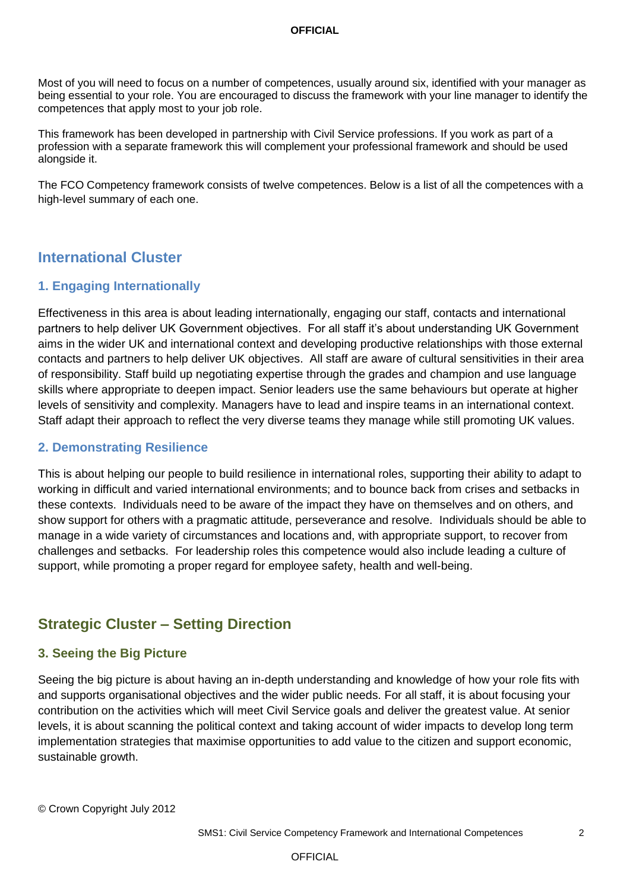Most of you will need to focus on a number of competences, usually around six, identified with your manager as being essential to your role. You are encouraged to discuss the framework with your line manager to identify the competences that apply most to your job role.

This framework has been developed in partnership with Civil Service professions. If you work as part of a profession with a separate framework this will complement your professional framework and should be used alongside it.

The FCO Competency framework consists of twelve competences. Below is a list of all the competences with a high-level summary of each one.

# **International Cluster**

#### **1. Engaging Internationally**

Effectiveness in this area is about leading internationally, engaging our staff, contacts and international partners to help deliver UK Government objectives. For all staff it"s about understanding UK Government aims in the wider UK and international context and developing productive relationships with those external contacts and partners to help deliver UK objectives. All staff are aware of cultural sensitivities in their area of responsibility. Staff build up negotiating expertise through the grades and champion and use language skills where appropriate to deepen impact. Senior leaders use the same behaviours but operate at higher levels of sensitivity and complexity. Managers have to lead and inspire teams in an international context. Staff adapt their approach to reflect the very diverse teams they manage while still promoting UK values.

#### **2. Demonstrating Resilience**

This is about helping our people to build resilience in international roles, supporting their ability to adapt to working in difficult and varied international environments; and to bounce back from crises and setbacks in these contexts. Individuals need to be aware of the impact they have on themselves and on others, and show support for others with a pragmatic attitude, perseverance and resolve. Individuals should be able to manage in a wide variety of circumstances and locations and, with appropriate support, to recover from challenges and setbacks. For leadership roles this competence would also include leading a culture of support, while promoting a proper regard for employee safety, health and well-being.

# **Strategic Cluster – Setting Direction**

#### **3. Seeing the Big Picture**

Seeing the big picture is about having an in-depth understanding and knowledge of how your role fits with and supports organisational objectives and the wider public needs. For all staff, it is about focusing your contribution on the activities which will meet Civil Service goals and deliver the greatest value. At senior levels, it is about scanning the political context and taking account of wider impacts to develop long term implementation strategies that maximise opportunities to add value to the citizen and support economic, sustainable growth.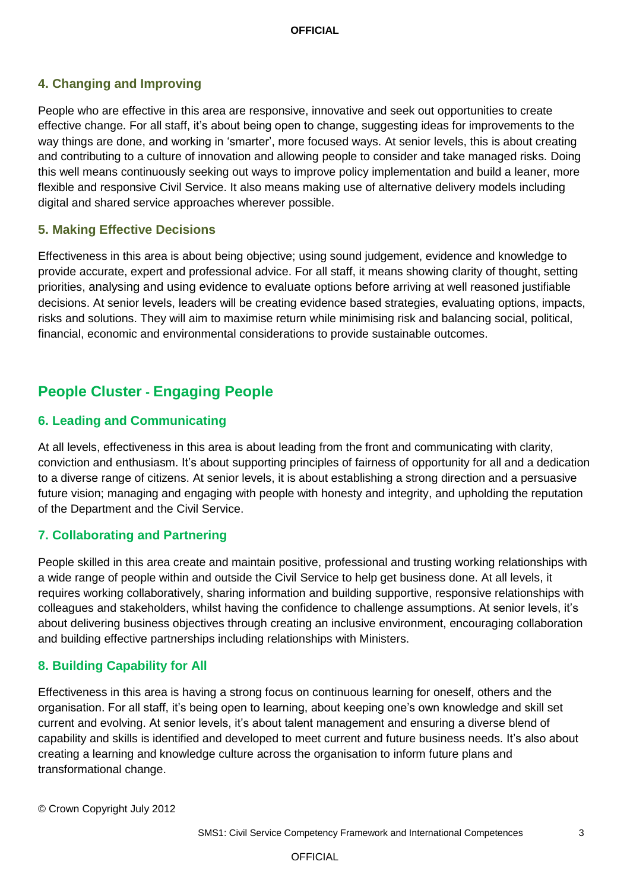# **4. Changing and Improving**

People who are effective in this area are responsive, innovative and seek out opportunities to create effective change. For all staff, it's about being open to change, suggesting ideas for improvements to the way things are done, and working in "smarter", more focused ways. At senior levels, this is about creating and contributing to a culture of innovation and allowing people to consider and take managed risks. Doing this well means continuously seeking out ways to improve policy implementation and build a leaner, more flexible and responsive Civil Service. It also means making use of alternative delivery models including digital and shared service approaches wherever possible.

### **5. Making Effective Decisions**

Effectiveness in this area is about being objective; using sound judgement, evidence and knowledge to provide accurate, expert and professional advice. For all staff, it means showing clarity of thought, setting priorities, analysing and using evidence to evaluate options before arriving at well reasoned justifiable decisions. At senior levels, leaders will be creating evidence based strategies, evaluating options, impacts, risks and solutions. They will aim to maximise return while minimising risk and balancing social, political, financial, economic and environmental considerations to provide sustainable outcomes.

# **People Cluster - Engaging People**

## **6. Leading and Communicating**

At all levels, effectiveness in this area is about leading from the front and communicating with clarity, conviction and enthusiasm. It"s about supporting principles of fairness of opportunity for all and a dedication to a diverse range of citizens. At senior levels, it is about establishing a strong direction and a persuasive future vision; managing and engaging with people with honesty and integrity, and upholding the reputation of the Department and the Civil Service.

## **7. Collaborating and Partnering**

People skilled in this area create and maintain positive, professional and trusting working relationships with a wide range of people within and outside the Civil Service to help get business done. At all levels, it requires working collaboratively, sharing information and building supportive, responsive relationships with colleagues and stakeholders, whilst having the confidence to challenge assumptions. At senior levels, it"s about delivering business objectives through creating an inclusive environment, encouraging collaboration and building effective partnerships including relationships with Ministers.

## **8. Building Capability for All**

Effectiveness in this area is having a strong focus on continuous learning for oneself, others and the organisation. For all staff, it"s being open to learning, about keeping one"s own knowledge and skill set current and evolving. At senior levels, it's about talent management and ensuring a diverse blend of capability and skills is identified and developed to meet current and future business needs. It"s also about creating a learning and knowledge culture across the organisation to inform future plans and transformational change.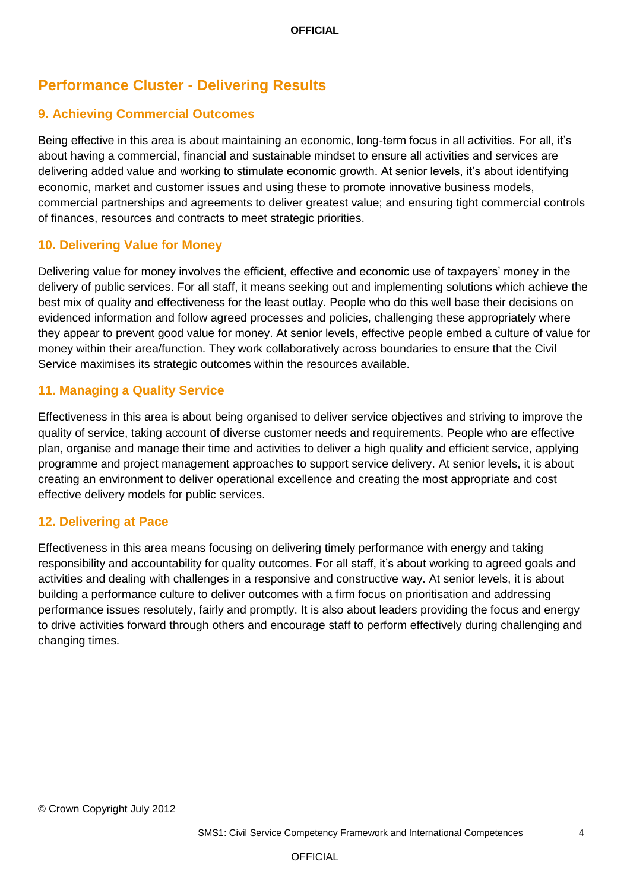# **Performance Cluster - Delivering Results**

## **9. Achieving Commercial Outcomes**

Being effective in this area is about maintaining an economic, long-term focus in all activities. For all, it"s about having a commercial, financial and sustainable mindset to ensure all activities and services are delivering added value and working to stimulate economic growth. At senior levels, it"s about identifying economic, market and customer issues and using these to promote innovative business models, commercial partnerships and agreements to deliver greatest value; and ensuring tight commercial controls of finances, resources and contracts to meet strategic priorities.

### **10. Delivering Value for Money**

Delivering value for money involves the efficient, effective and economic use of taxpayers' money in the delivery of public services. For all staff, it means seeking out and implementing solutions which achieve the best mix of quality and effectiveness for the least outlay. People who do this well base their decisions on evidenced information and follow agreed processes and policies, challenging these appropriately where they appear to prevent good value for money. At senior levels, effective people embed a culture of value for money within their area/function. They work collaboratively across boundaries to ensure that the Civil Service maximises its strategic outcomes within the resources available.

## **11. Managing a Quality Service**

Effectiveness in this area is about being organised to deliver service objectives and striving to improve the quality of service, taking account of diverse customer needs and requirements. People who are effective plan, organise and manage their time and activities to deliver a high quality and efficient service, applying programme and project management approaches to support service delivery. At senior levels, it is about creating an environment to deliver operational excellence and creating the most appropriate and cost effective delivery models for public services.

## **12. Delivering at Pace**

Effectiveness in this area means focusing on delivering timely performance with energy and taking responsibility and accountability for quality outcomes. For all staff, it"s about working to agreed goals and activities and dealing with challenges in a responsive and constructive way. At senior levels, it is about building a performance culture to deliver outcomes with a firm focus on prioritisation and addressing performance issues resolutely, fairly and promptly. It is also about leaders providing the focus and energy to drive activities forward through others and encourage staff to perform effectively during challenging and changing times.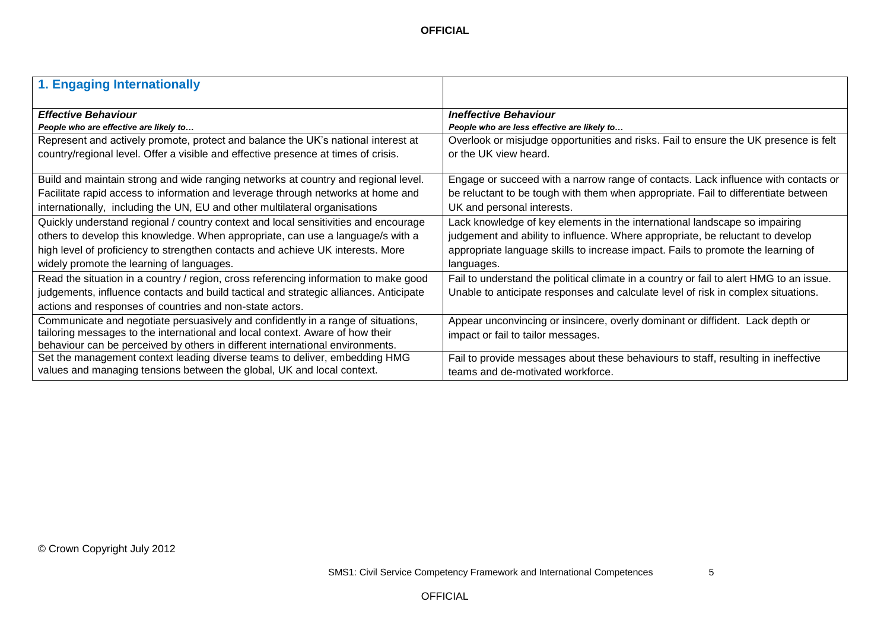| 1. Engaging Internationally                                                                                                                                                                                                                        |                                                                                                                                                                              |
|----------------------------------------------------------------------------------------------------------------------------------------------------------------------------------------------------------------------------------------------------|------------------------------------------------------------------------------------------------------------------------------------------------------------------------------|
| <b>Effective Behaviour</b>                                                                                                                                                                                                                         | <b>Ineffective Behaviour</b>                                                                                                                                                 |
| People who are effective are likely to                                                                                                                                                                                                             | People who are less effective are likely to                                                                                                                                  |
| Represent and actively promote, protect and balance the UK's national interest at                                                                                                                                                                  | Overlook or misjudge opportunities and risks. Fail to ensure the UK presence is felt                                                                                         |
| country/regional level. Offer a visible and effective presence at times of crisis.                                                                                                                                                                 | or the UK view heard.                                                                                                                                                        |
| Build and maintain strong and wide ranging networks at country and regional level.                                                                                                                                                                 | Engage or succeed with a narrow range of contacts. Lack influence with contacts or                                                                                           |
| Facilitate rapid access to information and leverage through networks at home and                                                                                                                                                                   | be reluctant to be tough with them when appropriate. Fail to differentiate between                                                                                           |
| internationally, including the UN, EU and other multilateral organisations                                                                                                                                                                         | UK and personal interests.                                                                                                                                                   |
| Quickly understand regional / country context and local sensitivities and encourage                                                                                                                                                                | Lack knowledge of key elements in the international landscape so impairing                                                                                                   |
| others to develop this knowledge. When appropriate, can use a language/s with a                                                                                                                                                                    | judgement and ability to influence. Where appropriate, be reluctant to develop                                                                                               |
| high level of proficiency to strengthen contacts and achieve UK interests. More                                                                                                                                                                    | appropriate language skills to increase impact. Fails to promote the learning of                                                                                             |
| widely promote the learning of languages.                                                                                                                                                                                                          | languages.                                                                                                                                                                   |
| Read the situation in a country / region, cross referencing information to make good<br>judgements, influence contacts and build tactical and strategic alliances. Anticipate<br>actions and responses of countries and non-state actors.          | Fail to understand the political climate in a country or fail to alert HMG to an issue.<br>Unable to anticipate responses and calculate level of risk in complex situations. |
| Communicate and negotiate persuasively and confidently in a range of situations,<br>tailoring messages to the international and local context. Aware of how their<br>behaviour can be perceived by others in different international environments. | Appear unconvincing or insincere, overly dominant or diffident. Lack depth or<br>impact or fail to tailor messages.                                                          |
| Set the management context leading diverse teams to deliver, embedding HMG                                                                                                                                                                         | Fail to provide messages about these behaviours to staff, resulting in ineffective                                                                                           |
| values and managing tensions between the global, UK and local context.                                                                                                                                                                             | teams and de-motivated workforce.                                                                                                                                            |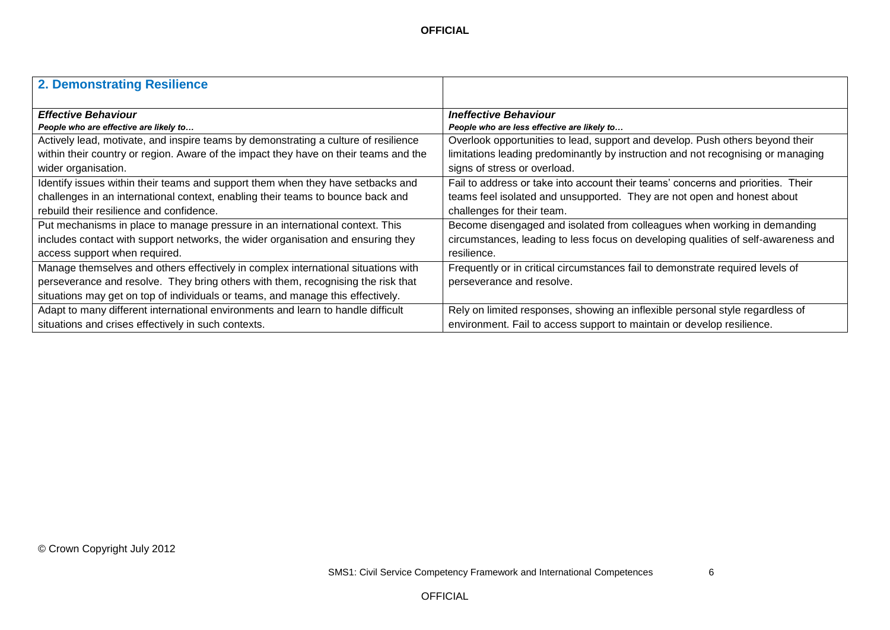| <b>2. Demonstrating Resilience</b>                                                   |                                                                                    |
|--------------------------------------------------------------------------------------|------------------------------------------------------------------------------------|
|                                                                                      |                                                                                    |
| <b>Effective Behaviour</b>                                                           | <b>Ineffective Behaviour</b>                                                       |
| People who are effective are likely to                                               | People who are less effective are likely to                                        |
| Actively lead, motivate, and inspire teams by demonstrating a culture of resilience  | Overlook opportunities to lead, support and develop. Push others beyond their      |
| within their country or region. Aware of the impact they have on their teams and the | limitations leading predominantly by instruction and not recognising or managing   |
| wider organisation.                                                                  | signs of stress or overload.                                                       |
| Identify issues within their teams and support them when they have setbacks and      | Fail to address or take into account their teams' concerns and priorities. Their   |
| challenges in an international context, enabling their teams to bounce back and      | teams feel isolated and unsupported. They are not open and honest about            |
| rebuild their resilience and confidence.                                             | challenges for their team.                                                         |
| Put mechanisms in place to manage pressure in an international context. This         | Become disengaged and isolated from colleagues when working in demanding           |
| includes contact with support networks, the wider organisation and ensuring they     | circumstances, leading to less focus on developing qualities of self-awareness and |
| access support when required.                                                        | resilience.                                                                        |
| Manage themselves and others effectively in complex international situations with    | Frequently or in critical circumstances fail to demonstrate required levels of     |
| perseverance and resolve. They bring others with them, recognising the risk that     | perseverance and resolve.                                                          |
| situations may get on top of individuals or teams, and manage this effectively.      |                                                                                    |
| Adapt to many different international environments and learn to handle difficult     | Rely on limited responses, showing an inflexible personal style regardless of      |
| situations and crises effectively in such contexts.                                  | environment. Fail to access support to maintain or develop resilience.             |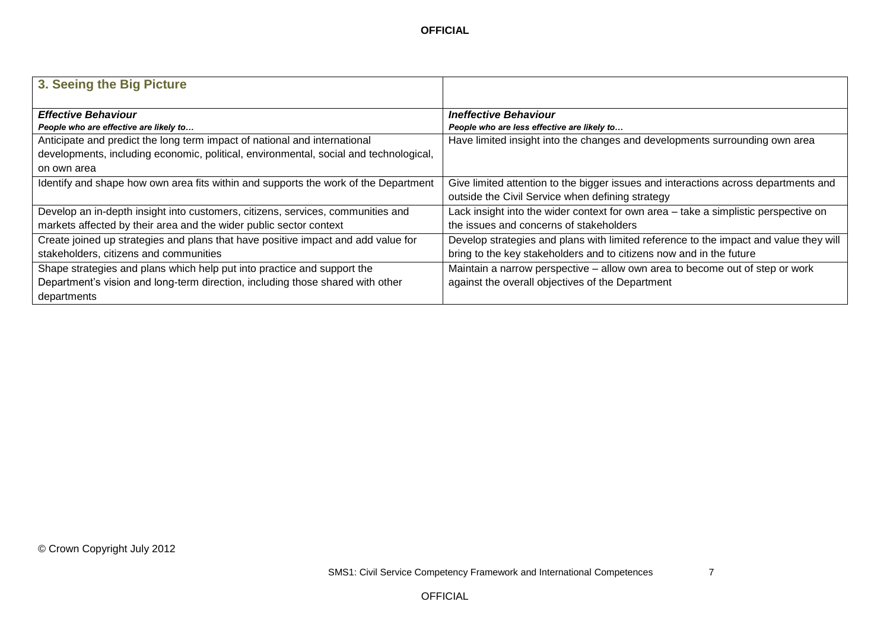| 3. Seeing the Big Picture                                                             |                                                                                       |
|---------------------------------------------------------------------------------------|---------------------------------------------------------------------------------------|
|                                                                                       |                                                                                       |
| <b>Effective Behaviour</b>                                                            | <b>Ineffective Behaviour</b>                                                          |
| People who are effective are likely to                                                | People who are less effective are likely to                                           |
| Anticipate and predict the long term impact of national and international             | Have limited insight into the changes and developments surrounding own area           |
| developments, including economic, political, environmental, social and technological, |                                                                                       |
| on own area                                                                           |                                                                                       |
| Identify and shape how own area fits within and supports the work of the Department   | Give limited attention to the bigger issues and interactions across departments and   |
|                                                                                       | outside the Civil Service when defining strategy                                      |
| Develop an in-depth insight into customers, citizens, services, communities and       | Lack insight into the wider context for own area - take a simplistic perspective on   |
| markets affected by their area and the wider public sector context                    | the issues and concerns of stakeholders                                               |
| Create joined up strategies and plans that have positive impact and add value for     | Develop strategies and plans with limited reference to the impact and value they will |
| stakeholders, citizens and communities                                                | bring to the key stakeholders and to citizens now and in the future                   |
| Shape strategies and plans which help put into practice and support the               | Maintain a narrow perspective – allow own area to become out of step or work          |
| Department's vision and long-term direction, including those shared with other        | against the overall objectives of the Department                                      |
| departments                                                                           |                                                                                       |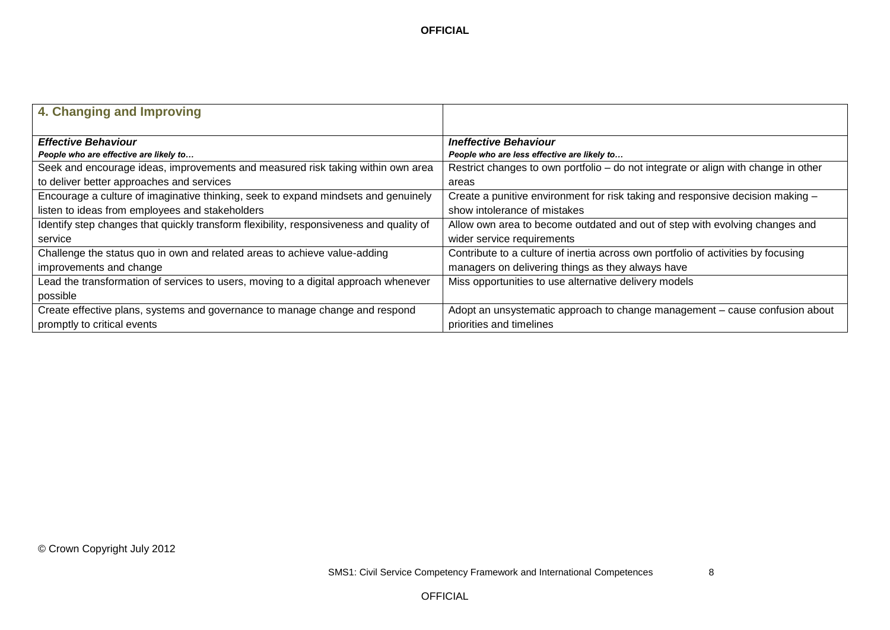| 4. Changing and Improving                                                               |                                                                                    |
|-----------------------------------------------------------------------------------------|------------------------------------------------------------------------------------|
|                                                                                         |                                                                                    |
| <b>Effective Behaviour</b>                                                              | <b>Ineffective Behaviour</b>                                                       |
| People who are effective are likely to                                                  | People who are less effective are likely to                                        |
| Seek and encourage ideas, improvements and measured risk taking within own area         | Restrict changes to own portfolio – do not integrate or align with change in other |
| to deliver better approaches and services                                               | areas                                                                              |
| Encourage a culture of imaginative thinking, seek to expand mindsets and genuinely      | Create a punitive environment for risk taking and responsive decision making -     |
| listen to ideas from employees and stakeholders                                         | show intolerance of mistakes                                                       |
| Identify step changes that quickly transform flexibility, responsiveness and quality of | Allow own area to become outdated and out of step with evolving changes and        |
| service                                                                                 | wider service requirements                                                         |
| Challenge the status quo in own and related areas to achieve value-adding               | Contribute to a culture of inertia across own portfolio of activities by focusing  |
| improvements and change                                                                 | managers on delivering things as they always have                                  |
| Lead the transformation of services to users, moving to a digital approach whenever     | Miss opportunities to use alternative delivery models                              |
| possible                                                                                |                                                                                    |
| Create effective plans, systems and governance to manage change and respond             | Adopt an unsystematic approach to change management – cause confusion about        |
| promptly to critical events                                                             | priorities and timelines                                                           |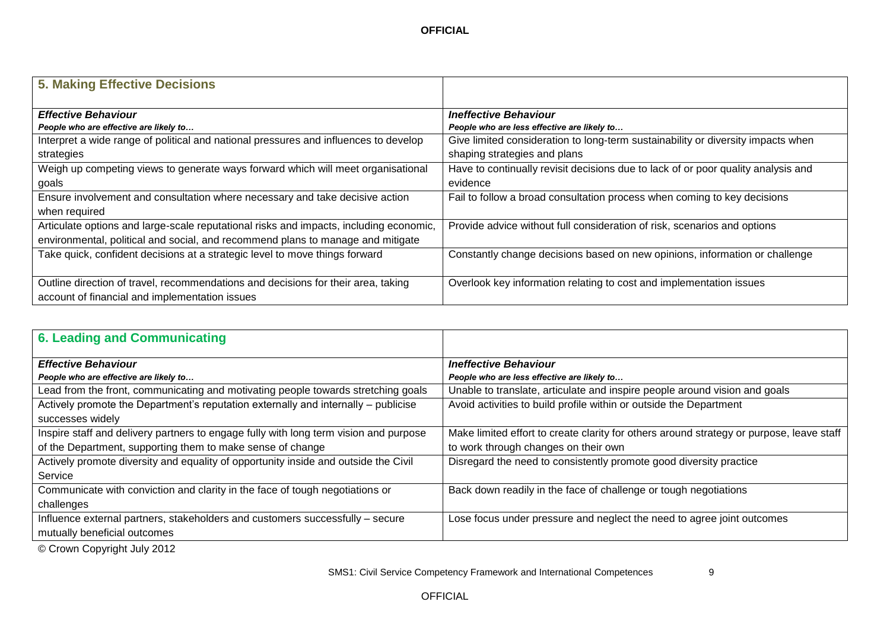| <b>5. Making Effective Decisions</b>                                                                                                                           |                                                                                                                                 |
|----------------------------------------------------------------------------------------------------------------------------------------------------------------|---------------------------------------------------------------------------------------------------------------------------------|
| <b>Effective Behaviour</b>                                                                                                                                     | <b>Ineffective Behaviour</b>                                                                                                    |
| People who are effective are likely to<br>Interpret a wide range of political and national pressures and influences to develop                                 | People who are less effective are likely to<br>Give limited consideration to long-term sustainability or diversity impacts when |
| strategies<br>Weigh up competing views to generate ways forward which will meet organisational                                                                 | shaping strategies and plans<br>Have to continually revisit decisions due to lack of or poor quality analysis and               |
| goals<br>Ensure involvement and consultation where necessary and take decisive action                                                                          | evidence<br>Fail to follow a broad consultation process when coming to key decisions                                            |
| when required<br>Articulate options and large-scale reputational risks and impacts, including economic,                                                        | Provide advice without full consideration of risk, scenarios and options                                                        |
| environmental, political and social, and recommend plans to manage and mitigate<br>Take quick, confident decisions at a strategic level to move things forward | Constantly change decisions based on new opinions, information or challenge                                                     |
| Outline direction of travel, recommendations and decisions for their area, taking                                                                              | Overlook key information relating to cost and implementation issues                                                             |
| account of financial and implementation issues                                                                                                                 |                                                                                                                                 |

| <b>6. Leading and Communicating</b>                                                   |                                                                                          |
|---------------------------------------------------------------------------------------|------------------------------------------------------------------------------------------|
| <b>Effective Behaviour</b>                                                            | <b>Ineffective Behaviour</b>                                                             |
| People who are effective are likely to                                                | People who are less effective are likely to                                              |
| Lead from the front, communicating and motivating people towards stretching goals     | Unable to translate, articulate and inspire people around vision and goals               |
| Actively promote the Department's reputation externally and internally - publicise    | Avoid activities to build profile within or outside the Department                       |
| successes widely                                                                      |                                                                                          |
| Inspire staff and delivery partners to engage fully with long term vision and purpose | Make limited effort to create clarity for others around strategy or purpose, leave staff |
| of the Department, supporting them to make sense of change                            | to work through changes on their own                                                     |
| Actively promote diversity and equality of opportunity inside and outside the Civil   | Disregard the need to consistently promote good diversity practice                       |
| Service                                                                               |                                                                                          |
| Communicate with conviction and clarity in the face of tough negotiations or          | Back down readily in the face of challenge or tough negotiations                         |
| challenges                                                                            |                                                                                          |
| Influence external partners, stakeholders and customers successfully - secure         | Lose focus under pressure and neglect the need to agree joint outcomes                   |
| mutually beneficial outcomes                                                          |                                                                                          |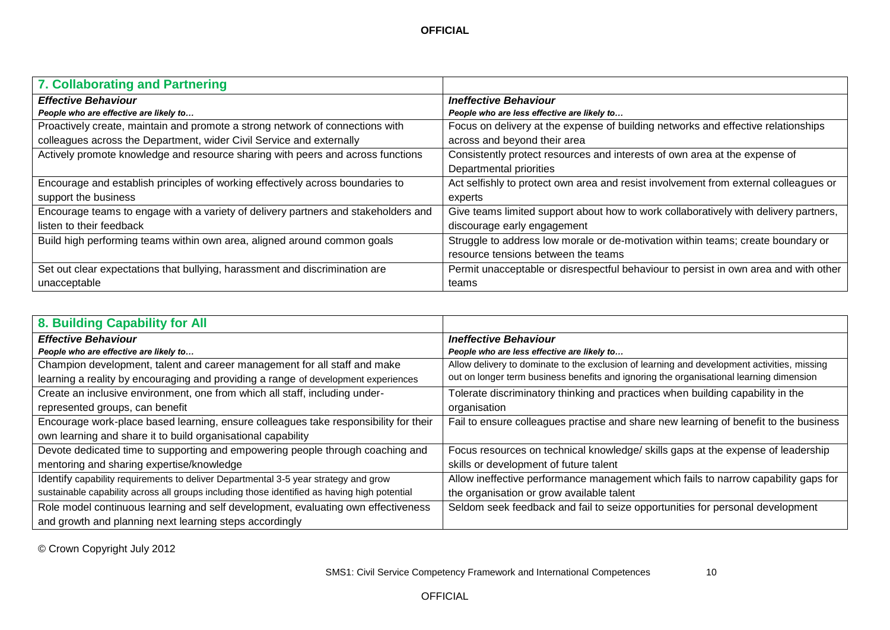| 7. Collaborating and Partnering                                                    |                                                                                      |
|------------------------------------------------------------------------------------|--------------------------------------------------------------------------------------|
| <b>Effective Behaviour</b>                                                         | <b>Ineffective Behaviour</b>                                                         |
| People who are effective are likely to                                             | People who are less effective are likely to                                          |
| Proactively create, maintain and promote a strong network of connections with      | Focus on delivery at the expense of building networks and effective relationships    |
| colleagues across the Department, wider Civil Service and externally               | across and beyond their area                                                         |
| Actively promote knowledge and resource sharing with peers and across functions    | Consistently protect resources and interests of own area at the expense of           |
|                                                                                    | Departmental priorities                                                              |
| Encourage and establish principles of working effectively across boundaries to     | Act selfishly to protect own area and resist involvement from external colleagues or |
| support the business                                                               | experts                                                                              |
| Encourage teams to engage with a variety of delivery partners and stakeholders and | Give teams limited support about how to work collaboratively with delivery partners, |
| listen to their feedback                                                           | discourage early engagement                                                          |
| Build high performing teams within own area, aligned around common goals           | Struggle to address low morale or de-motivation within teams; create boundary or     |
|                                                                                    | resource tensions between the teams                                                  |
| Set out clear expectations that bullying, harassment and discrimination are        | Permit unacceptable or disrespectful behaviour to persist in own area and with other |
| unacceptable                                                                       | teams                                                                                |

| 8. Building Capability for All                                                               |                                                                                             |
|----------------------------------------------------------------------------------------------|---------------------------------------------------------------------------------------------|
| <b>Effective Behaviour</b>                                                                   | <b>Ineffective Behaviour</b>                                                                |
| People who are effective are likely to                                                       | People who are less effective are likely to                                                 |
| Champion development, talent and career management for all staff and make                    | Allow delivery to dominate to the exclusion of learning and development activities, missing |
| learning a reality by encouraging and providing a range of development experiences           | out on longer term business benefits and ignoring the organisational learning dimension     |
| Create an inclusive environment, one from which all staff, including under-                  | Tolerate discriminatory thinking and practices when building capability in the              |
| represented groups, can benefit                                                              | organisation                                                                                |
| Encourage work-place based learning, ensure colleagues take responsibility for their         | Fail to ensure colleagues practise and share new learning of benefit to the business        |
| own learning and share it to build organisational capability                                 |                                                                                             |
| Devote dedicated time to supporting and empowering people through coaching and               | Focus resources on technical knowledge/ skills gaps at the expense of leadership            |
| mentoring and sharing expertise/knowledge                                                    | skills or development of future talent                                                      |
| Identify capability requirements to deliver Departmental 3-5 year strategy and grow          | Allow ineffective performance management which fails to narrow capability gaps for          |
| sustainable capability across all groups including those identified as having high potential | the organisation or grow available talent                                                   |
| Role model continuous learning and self development, evaluating own effectiveness            | Seldom seek feedback and fail to seize opportunities for personal development               |
| and growth and planning next learning steps accordingly                                      |                                                                                             |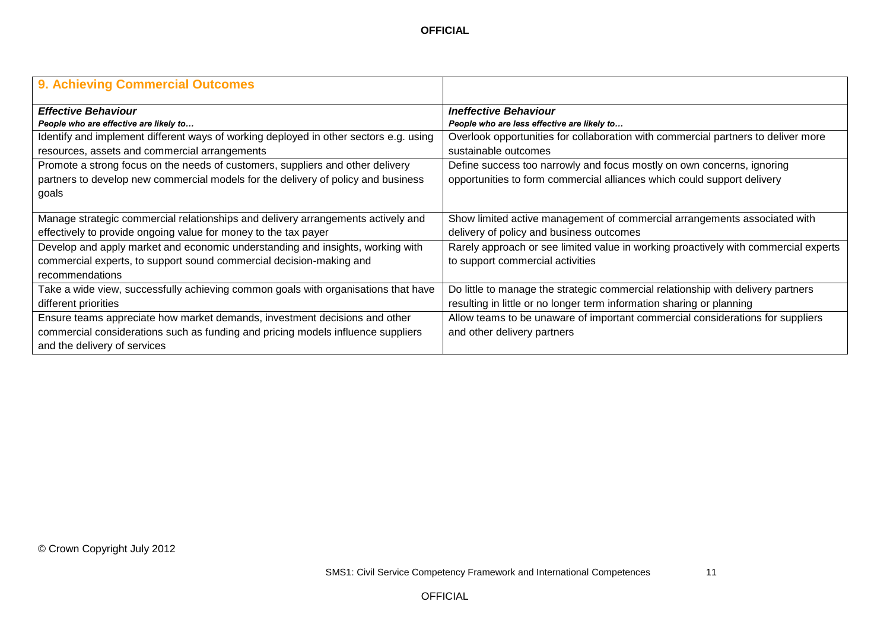| 9. Achieving Commercial Outcomes                                                      |                                                                                     |
|---------------------------------------------------------------------------------------|-------------------------------------------------------------------------------------|
| <b>Effective Behaviour</b>                                                            | <b>Ineffective Behaviour</b>                                                        |
| People who are effective are likely to                                                | People who are less effective are likely to                                         |
| Identify and implement different ways of working deployed in other sectors e.g. using | Overlook opportunities for collaboration with commercial partners to deliver more   |
| resources, assets and commercial arrangements                                         | sustainable outcomes                                                                |
| Promote a strong focus on the needs of customers, suppliers and other delivery        | Define success too narrowly and focus mostly on own concerns, ignoring              |
| partners to develop new commercial models for the delivery of policy and business     | opportunities to form commercial alliances which could support delivery             |
| goals                                                                                 |                                                                                     |
|                                                                                       |                                                                                     |
| Manage strategic commercial relationships and delivery arrangements actively and      | Show limited active management of commercial arrangements associated with           |
| effectively to provide ongoing value for money to the tax payer                       | delivery of policy and business outcomes                                            |
| Develop and apply market and economic understanding and insights, working with        | Rarely approach or see limited value in working proactively with commercial experts |
| commercial experts, to support sound commercial decision-making and                   | to support commercial activities                                                    |
| recommendations                                                                       |                                                                                     |
| Take a wide view, successfully achieving common goals with organisations that have    | Do little to manage the strategic commercial relationship with delivery partners    |
| different priorities                                                                  | resulting in little or no longer term information sharing or planning               |
| Ensure teams appreciate how market demands, investment decisions and other            | Allow teams to be unaware of important commercial considerations for suppliers      |
| commercial considerations such as funding and pricing models influence suppliers      | and other delivery partners                                                         |
| and the delivery of services                                                          |                                                                                     |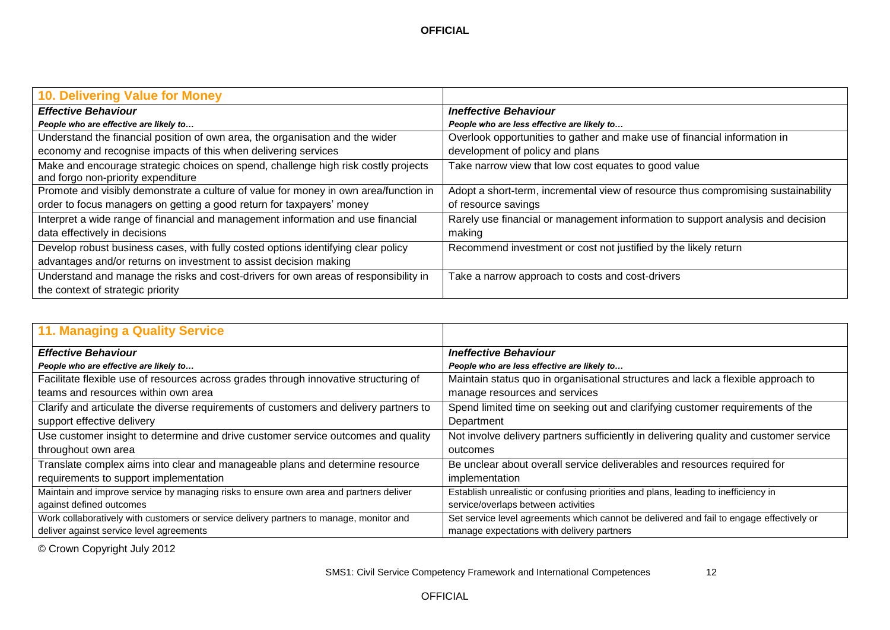| 10. Delivering Value for Money                                                                                           |                                                                                   |
|--------------------------------------------------------------------------------------------------------------------------|-----------------------------------------------------------------------------------|
| <b>Effective Behaviour</b>                                                                                               | <b>Ineffective Behaviour</b>                                                      |
| People who are effective are likely to                                                                                   | People who are less effective are likely to                                       |
| Understand the financial position of own area, the organisation and the wider                                            | Overlook opportunities to gather and make use of financial information in         |
| economy and recognise impacts of this when delivering services                                                           | development of policy and plans                                                   |
| Make and encourage strategic choices on spend, challenge high risk costly projects<br>and forgo non-priority expenditure | Take narrow view that low cost equates to good value                              |
| Promote and visibly demonstrate a culture of value for money in own area/function in                                     | Adopt a short-term, incremental view of resource thus compromising sustainability |
| order to focus managers on getting a good return for taxpayers' money                                                    | of resource savings                                                               |
| Interpret a wide range of financial and management information and use financial                                         | Rarely use financial or management information to support analysis and decision   |
| data effectively in decisions                                                                                            | making                                                                            |
| Develop robust business cases, with fully costed options identifying clear policy                                        | Recommend investment or cost not justified by the likely return                   |
| advantages and/or returns on investment to assist decision making                                                        |                                                                                   |
| Understand and manage the risks and cost-drivers for own areas of responsibility in                                      | Take a narrow approach to costs and cost-drivers                                  |
| the context of strategic priority                                                                                        |                                                                                   |

| <b>11. Managing a Quality Service</b>                                                   |                                                                                          |
|-----------------------------------------------------------------------------------------|------------------------------------------------------------------------------------------|
| <b>Effective Behaviour</b>                                                              | <b>Ineffective Behaviour</b>                                                             |
| People who are effective are likely to                                                  | People who are less effective are likely to                                              |
| Facilitate flexible use of resources across grades through innovative structuring of    | Maintain status quo in organisational structures and lack a flexible approach to         |
| teams and resources within own area                                                     | manage resources and services                                                            |
| Clarify and articulate the diverse requirements of customers and delivery partners to   | Spend limited time on seeking out and clarifying customer requirements of the            |
| support effective delivery                                                              | Department                                                                               |
| Use customer insight to determine and drive customer service outcomes and quality       | Not involve delivery partners sufficiently in delivering quality and customer service    |
| throughout own area                                                                     | outcomes                                                                                 |
| Translate complex aims into clear and manageable plans and determine resource           | Be unclear about overall service deliverables and resources required for                 |
| requirements to support implementation                                                  | implementation                                                                           |
| Maintain and improve service by managing risks to ensure own area and partners deliver  | Establish unrealistic or confusing priorities and plans, leading to inefficiency in      |
| against defined outcomes                                                                | service/overlaps between activities                                                      |
| Work collaboratively with customers or service delivery partners to manage, monitor and | Set service level agreements which cannot be delivered and fail to engage effectively or |
| deliver against service level agreements                                                | manage expectations with delivery partners                                               |